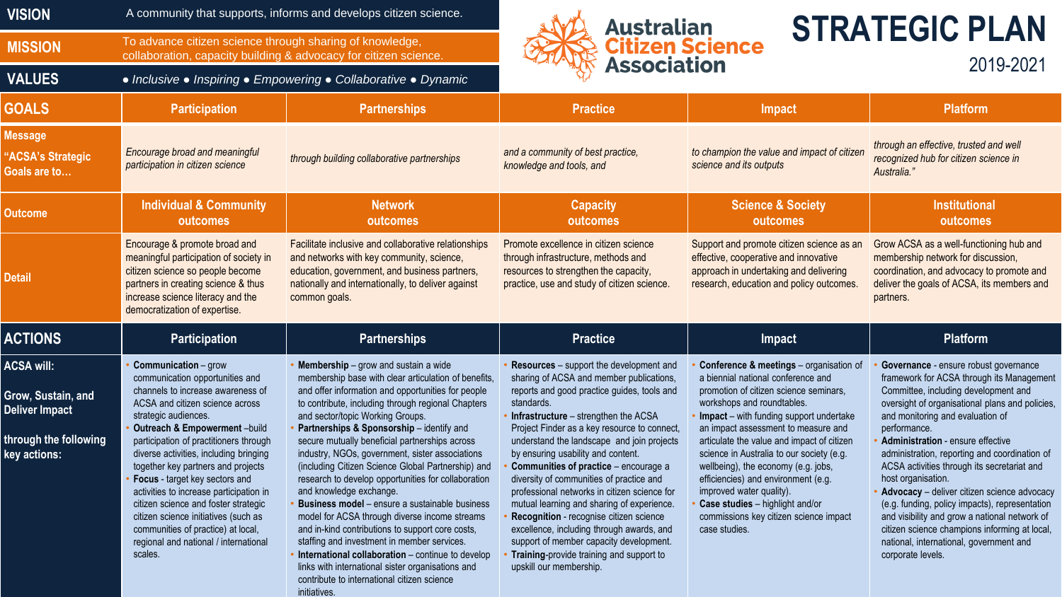| <b>VISION</b>                                                                                             | A community that supports, informs and develops citizen science.                                                                                                                                                                                                                                                                                                                                                                                                                                                                                                                |                                                                                                                                                                                                                                                                                                                                                                                                                                                                                                                                                                                                                                                                                                                                                                                                                                                                                                                       | <b>STRATEGIC PLAN</b><br><b>Australian</b><br><b>Citizen Science</b><br><b>Association</b><br>2019-2021                                                                                                                                                                                                                                                                                                                                                                                                                                                                                                                                                                                                                     |                                                                                                                                                                                                                                                                                                                                                                                                                                                                                                                                            |                                                                                                                                                                                                                                                                                                                                                                                                                                                                                                                                                                                                                                                                        |
|-----------------------------------------------------------------------------------------------------------|---------------------------------------------------------------------------------------------------------------------------------------------------------------------------------------------------------------------------------------------------------------------------------------------------------------------------------------------------------------------------------------------------------------------------------------------------------------------------------------------------------------------------------------------------------------------------------|-----------------------------------------------------------------------------------------------------------------------------------------------------------------------------------------------------------------------------------------------------------------------------------------------------------------------------------------------------------------------------------------------------------------------------------------------------------------------------------------------------------------------------------------------------------------------------------------------------------------------------------------------------------------------------------------------------------------------------------------------------------------------------------------------------------------------------------------------------------------------------------------------------------------------|-----------------------------------------------------------------------------------------------------------------------------------------------------------------------------------------------------------------------------------------------------------------------------------------------------------------------------------------------------------------------------------------------------------------------------------------------------------------------------------------------------------------------------------------------------------------------------------------------------------------------------------------------------------------------------------------------------------------------------|--------------------------------------------------------------------------------------------------------------------------------------------------------------------------------------------------------------------------------------------------------------------------------------------------------------------------------------------------------------------------------------------------------------------------------------------------------------------------------------------------------------------------------------------|------------------------------------------------------------------------------------------------------------------------------------------------------------------------------------------------------------------------------------------------------------------------------------------------------------------------------------------------------------------------------------------------------------------------------------------------------------------------------------------------------------------------------------------------------------------------------------------------------------------------------------------------------------------------|
| <b>MISSION</b>                                                                                            | To advance citizen science through sharing of knowledge,<br>collaboration, capacity building & advocacy for citizen science.                                                                                                                                                                                                                                                                                                                                                                                                                                                    |                                                                                                                                                                                                                                                                                                                                                                                                                                                                                                                                                                                                                                                                                                                                                                                                                                                                                                                       |                                                                                                                                                                                                                                                                                                                                                                                                                                                                                                                                                                                                                                                                                                                             |                                                                                                                                                                                                                                                                                                                                                                                                                                                                                                                                            |                                                                                                                                                                                                                                                                                                                                                                                                                                                                                                                                                                                                                                                                        |
| <b>VALUES</b>                                                                                             | • Inclusive • Inspiring • Empowering • Collaborative • Dynamic                                                                                                                                                                                                                                                                                                                                                                                                                                                                                                                  |                                                                                                                                                                                                                                                                                                                                                                                                                                                                                                                                                                                                                                                                                                                                                                                                                                                                                                                       |                                                                                                                                                                                                                                                                                                                                                                                                                                                                                                                                                                                                                                                                                                                             |                                                                                                                                                                                                                                                                                                                                                                                                                                                                                                                                            |                                                                                                                                                                                                                                                                                                                                                                                                                                                                                                                                                                                                                                                                        |
| <b>GOALS</b>                                                                                              | <b>Participation</b>                                                                                                                                                                                                                                                                                                                                                                                                                                                                                                                                                            | <b>Partnerships</b>                                                                                                                                                                                                                                                                                                                                                                                                                                                                                                                                                                                                                                                                                                                                                                                                                                                                                                   | <b>Practice</b>                                                                                                                                                                                                                                                                                                                                                                                                                                                                                                                                                                                                                                                                                                             | <b>Impact</b>                                                                                                                                                                                                                                                                                                                                                                                                                                                                                                                              | <b>Platform</b>                                                                                                                                                                                                                                                                                                                                                                                                                                                                                                                                                                                                                                                        |
| <b>Message</b><br>"ACSA's Strategic<br>Goals are to                                                       | Encourage broad and meaningful<br>participation in citizen science                                                                                                                                                                                                                                                                                                                                                                                                                                                                                                              | through building collaborative partnerships                                                                                                                                                                                                                                                                                                                                                                                                                                                                                                                                                                                                                                                                                                                                                                                                                                                                           | and a community of best practice,<br>knowledge and tools, and                                                                                                                                                                                                                                                                                                                                                                                                                                                                                                                                                                                                                                                               | to champion the value and impact of citizen<br>science and its outputs                                                                                                                                                                                                                                                                                                                                                                                                                                                                     | through an effective, trusted and well<br>recognized hub for citizen science in<br>Australia."                                                                                                                                                                                                                                                                                                                                                                                                                                                                                                                                                                         |
| <b>Outcome</b>                                                                                            | <b>Individual &amp; Community</b><br>outcomes                                                                                                                                                                                                                                                                                                                                                                                                                                                                                                                                   | <b>Network</b><br>outcomes                                                                                                                                                                                                                                                                                                                                                                                                                                                                                                                                                                                                                                                                                                                                                                                                                                                                                            | <b>Capacity</b><br>outcomes                                                                                                                                                                                                                                                                                                                                                                                                                                                                                                                                                                                                                                                                                                 | <b>Science &amp; Society</b><br>outcomes                                                                                                                                                                                                                                                                                                                                                                                                                                                                                                   | <b>Institutional</b><br>outcomes                                                                                                                                                                                                                                                                                                                                                                                                                                                                                                                                                                                                                                       |
| <b>Detail</b>                                                                                             | Encourage & promote broad and<br>meaningful participation of society in<br>citizen science so people become<br>partners in creating science & thus<br>increase science literacy and the<br>democratization of expertise.                                                                                                                                                                                                                                                                                                                                                        | Facilitate inclusive and collaborative relationships<br>and networks with key community, science,<br>education, government, and business partners,<br>nationally and internationally, to deliver against<br>common goals.                                                                                                                                                                                                                                                                                                                                                                                                                                                                                                                                                                                                                                                                                             | Promote excellence in citizen science<br>through infrastructure, methods and<br>resources to strengthen the capacity,<br>practice, use and study of citizen science.                                                                                                                                                                                                                                                                                                                                                                                                                                                                                                                                                        | Support and promote citizen science as an<br>effective, cooperative and innovative<br>approach in undertaking and delivering<br>research, education and policy outcomes.                                                                                                                                                                                                                                                                                                                                                                   | Grow ACSA as a well-functioning hub and<br>membership network for discussion,<br>coordination, and advocacy to promote and<br>deliver the goals of ACSA, its members and<br>partners.                                                                                                                                                                                                                                                                                                                                                                                                                                                                                  |
| <b>ACTIONS</b>                                                                                            | <b>Participation</b>                                                                                                                                                                                                                                                                                                                                                                                                                                                                                                                                                            | <b>Partnerships</b>                                                                                                                                                                                                                                                                                                                                                                                                                                                                                                                                                                                                                                                                                                                                                                                                                                                                                                   | <b>Practice</b>                                                                                                                                                                                                                                                                                                                                                                                                                                                                                                                                                                                                                                                                                                             | <b>Impact</b>                                                                                                                                                                                                                                                                                                                                                                                                                                                                                                                              | <b>Platform</b>                                                                                                                                                                                                                                                                                                                                                                                                                                                                                                                                                                                                                                                        |
| <b>ACSA will:</b><br>Grow, Sustain, and<br><b>Deliver Impact</b><br>through the following<br>key actions: | <b>Communication</b> - grow<br>communication opportunities and<br>channels to increase awareness of<br>ACSA and citizen science across<br>strategic audiences.<br>Outreach & Empowerment-build<br>participation of practitioners through<br>diverse activities, including bringing<br>together key partners and projects<br>Focus - target key sectors and<br>activities to increase participation in<br>citizen science and foster strategic<br>citizen science initiatives (such as<br>communities of practice) at local,<br>regional and national / international<br>scales. | Membership - grow and sustain a wide<br>membership base with clear articulation of benefits,<br>and offer information and opportunities for people<br>to contribute, including through regional Chapters<br>and sector/topic Working Groups.<br>Partnerships & Sponsorship - identify and<br>secure mutually beneficial partnerships across<br>industry, NGOs, government, sister associations<br>(including Citizen Science Global Partnership) and<br>research to develop opportunities for collaboration<br>and knowledge exchange.<br>Business model - ensure a sustainable business<br>model for ACSA through diverse income streams<br>and in-kind contributions to support core costs,<br>staffing and investment in member services.<br>International collaboration - continue to develop<br>links with international sister organisations and<br>contribute to international citizen science<br>initiatives. | Resources - support the development and<br>sharing of ACSA and member publications,<br>reports and good practice guides, tools and<br>standards.<br>Infrastructure $-$ strengthen the ACSA<br>Project Finder as a key resource to connect,<br>understand the landscape and join projects<br>by ensuring usability and content.<br>Communities of practice - encourage a<br>diversity of communities of practice and<br>professional networks in citizen science for<br>mutual learning and sharing of experience.<br>Recognition - recognise citizen science<br>excellence, including through awards, and<br>support of member capacity development.<br>Training-provide training and support to<br>upskill our membership. | Conference & meetings - organisation of<br>a biennial national conference and<br>promotion of citizen science seminars,<br>workshops and roundtables.<br>Impact - with funding support undertake<br>an impact assessment to measure and<br>articulate the value and impact of citizen<br>science in Australia to our society (e.g.<br>wellbeing), the economy (e.g. jobs,<br>efficiencies) and environment (e.g.<br>improved water quality).<br>Case studies - highlight and/or<br>commissions key citizen science impact<br>case studies. | Governance - ensure robust governance<br>framework for ACSA through its Management<br>Committee, including development and<br>oversight of organisational plans and policies,<br>and monitoring and evaluation of<br>performance.<br><b>Administration - ensure effective</b><br>administration, reporting and coordination of<br>ACSA activities through its secretariat and<br>host organisation.<br>Advocacy - deliver citizen science advocacy<br>(e.g. funding, policy impacts), representation<br>and visibility and grow a national network of<br>citizen science champions informing at local,<br>national, international, government and<br>corporate levels. |